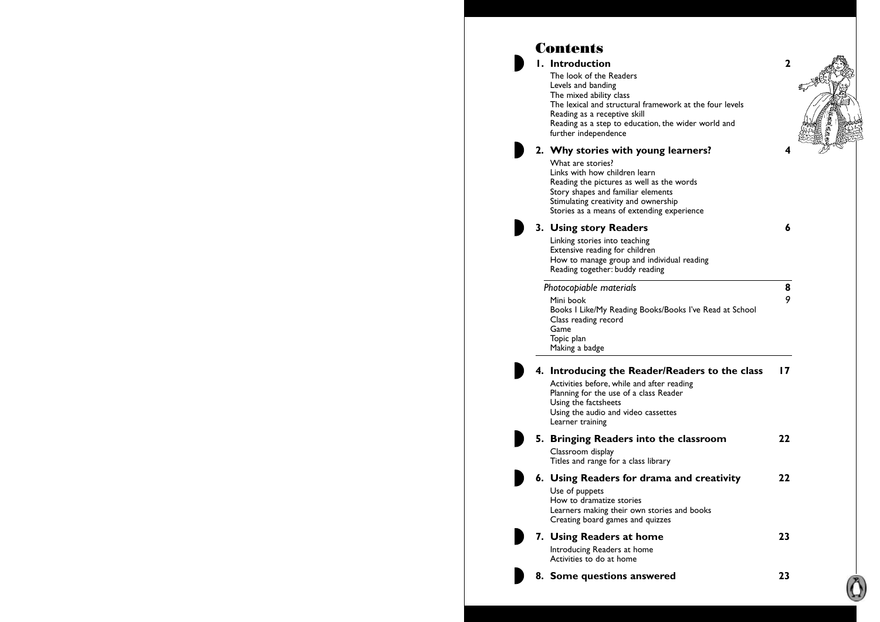# **Contents**

#### **1. Introduction 2**

The look of the Readers Levels and banding The mixed ability class The lexical and structural frame Reading as a receptive skill Reading as a step to education, further independence

#### **2. Why stories with young**

What are stories? Links with how children learn Reading the pictures as well as Story shapes and familiar eleme Stimulating creativity and owne Stories as a means of extending

Linking stories into teaching Extensive reading for children How to manage group and indiv Reading together: buddy reading

Activities before, while and afte Planning for the use of a class F Using the factsheets Using the audio and video casset Learner training

- **5. Bringing Readers into the case of** Classroom display Titles and range for a class libra
- **6. Using Readers for dran**

#### **3. Using story Readers 6**

Use of puppets How to dramatize stories Learners making their own stor Creating board games and quizz

- **7. Using Readers at home** Introducing Readers at home Activities to do at home
- **8. Some questions answered 23**

|                                                       | $\mathbf{2}$    | Ł, |
|-------------------------------------------------------|-----------------|----|
| ework at the four levels                              |                 |    |
| the wider world and                                   |                 |    |
| g learners?                                           |                 |    |
| the words<br>ents<br>rship<br>g experience            |                 |    |
|                                                       | 6               |    |
| vidual reading<br>g                                   |                 |    |
| S/Books I've Read at School                           | 8<br>9          |    |
| r/Readers to the class<br>er reading<br><b>Reader</b> | $\overline{17}$ |    |
| ettes                                                 |                 |    |
| the classroom                                         | 22              |    |
| ary                                                   |                 |    |
| na and creativity                                     | 22              |    |
| ries and books<br>zes                                 |                 |    |
| e                                                     | 23              |    |
|                                                       |                 |    |



*Photocopiable materials* **8** Mini book *9* Books I Like/My Reading Books Class reading record

Game Topic plan Making a badge

# **4. Introducing the Reader**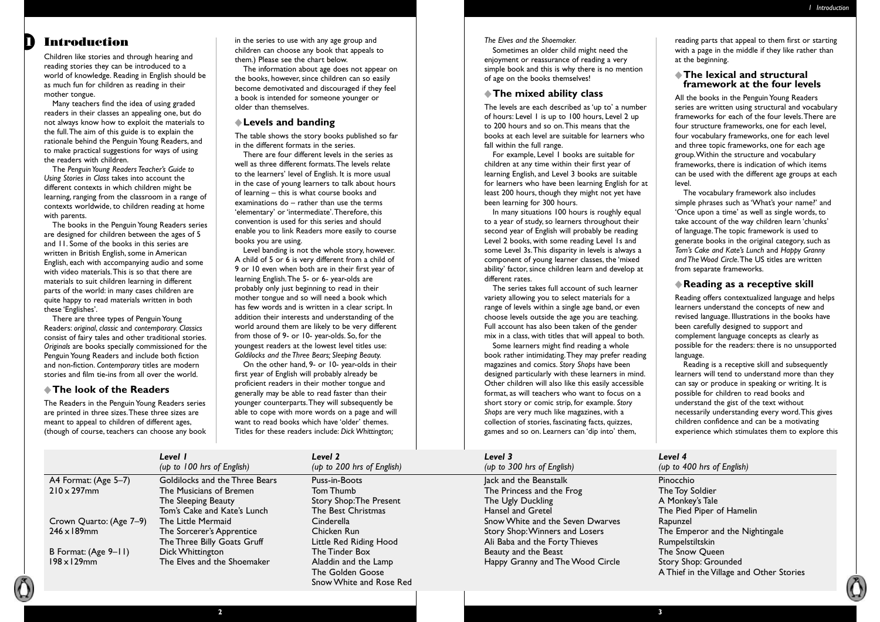Sometimes an older child might need the enjoyment or reassurance of reading a very simple book and this is why there is no mention of age on the books themselves!

#### ◆**The mixed ability class**

The levels are each described as 'up to' a number of hours: Level 1 is up to 100 hours, Level 2 up to 200 hours and so on.This means that the books at each level are suitable for learners who fall within the full range.

For example, Level 1 books are suitable for children at any time within their first year of learning English, and Level 3 books are suitable for learners who have been learning English for at least 200 hours, though they might not yet have been learning for 300 hours.

In many situations 100 hours is roughly equal to a year of study, so learners throughout their second year of English will probably be reading Level 2 books, with some reading Level 1s and some Level 3s.This disparity in levels is always a component of young learner classes, the 'mixed ability' factor, since children learn and develop at different rates.

The series takes full account of such learner variety allowing you to select materials for a range of levels within a single age band, or even choose levels outside the age you are teaching. Full account has also been taken of the gender mix in a class, with titles that will appeal to both.

Some learners might find reading a whole book rather intimidating.They may prefer reading magazines and comics. *Story Shops* have been designed particularly with these learners in mind. Other children will also like this easily accessible format, as will teachers who want to focus on a short story or comic strip, for example. *Story Shops* are very much like magazines, with a collection of stories, fascinating facts, quizzes, games and so on. Learners can 'dip into' them,

reading parts that appeal to them first or starting with a page in the middle if they like rather than at the beginning.

#### ◆**The lexical and structural framework at the four levels**

All the books in the Penguin Young Readers series are written using structural and vocabulary frameworks for each of the four levels.There are four structure frameworks, one for each level, four vocabulary frameworks, one for each level and three topic frameworks, one for each age group.Within the structure and vocabulary frameworks, there is indication of which items can be used with the different age groups at each level.

The vocabulary framework also includes simple phrases such as 'What's your name?' and 'Once upon a time' as well as single words, to take account of the way children learn 'chunks' of language.The topic framework is used to generate books in the original category, such as *Tom's Cake and Kate's Lunch* and *Happy Granny and The Wood Circle*.The US titles are written from separate frameworks.

#### ◆**Reading as a receptive skill**

**1 Introduction 1** in the series to use with any age group and The Elves and the Shoemaker. children can choose any book that appeals to them.) Please see the chart below.

> Reading offers contextualized language and helps learners understand the concepts of new and revised language. Illustrations in the books have been carefully designed to support and complement language concepts as clearly as possible for the readers: there is no unsupported language.

> Reading is a receptive skill and subsequently learners will tend to understand more than they can say or produce in speaking or writing. It is possible for children to read books and understand the gist of the text without necessarily understanding every word.This gives children confidence and can be a motivating experience which stimulates them to explore this

# **Introduction**

Children like stories and through hearing and reading stories they can be introduced to a world of knowledge. Reading in English should be as much fun for children as reading in their mother tongue.

Many teachers find the idea of using graded readers in their classes an appealing one, but do not always know how to exploit the materials to the full.The aim of this guide is to explain the rationale behind the Penguin Young Readers, and to make practical suggestions for ways of using the readers with children.

The *Penguin Young Readers Teacher's Guide to Using Stories in Class* takes into account the different contexts in which children might be learning, ranging from the classroom in a range of contexts worldwide, to children reading at home with parents.

The books in the Penguin Young Readers series are designed for children between the ages of 5 and 11. Some of the books in this series are written in British English, some in American English, each with accompanying audio and some with video materials.This is so that there are materials to suit children learning in different parts of the world: in many cases children are quite happy to read materials written in both these 'Englishes'.

There are three types of Penguin Young Readers: *original*, *classic* and *contemporary. Classics* consist of fairy tales and other traditional stories. *Originals* are books specially commissioned for the Penguin Young Readers and include both fiction and non-fiction. *Contemporary* titles are modern stories and film tie-ins from all over the world.

#### ◆**The look of the Readers**

The Readers in the Penguin Young Readers series are printed in three sizes.These three sizes are meant to appeal to children of different ages, (though of course, teachers can choose any book

The information about age does not appear on the books, however, since children can so easily become demotivated and discouraged if they feel a book is intended for someone younger or older than themselves.

#### ◆**Levels and banding**

The table shows the story books published so far in the different formats in the series.

There are four different levels in the series as well as three different formats.The levels relate to the learners' level of English. It is more usual in the case of young learners to talk about hours of learning – this is what course books and examinations do – rather than use the terms 'elementary' or 'intermediate'.Therefore, this convention is used for this series and should enable you to link Readers more easily to course books you are using.

Level banding is not the whole story, however. A child of 5 or 6 is very different from a child of 9 or 10 even when both are in their first year of learning English.The 5- or 6- year-olds are probably only just beginning to read in their mother tongue and so will need a book which has few words and is written in a clear script. In addition their interests and understanding of the world around them are likely to be very different from those of 9- or 10- year-olds. So, for the youngest readers at the lowest level titles use: *Goldilocks and the Three Bears; Sleeping Beauty.*

On the other hand, 9- or 10- year-olds in their first year of English will probably already be proficient readers in their mother tongue and generally may be able to read faster than their younger counterparts.They will subsequently be able to cope with more words on a page and will want to read books which have 'older' themes. Titles for these readers include: *Dick Whittington;*

**2**

*(up to 100 hrs of English) (up to 200 hrs of English) (up to 300 hrs of English) (up to 400 hrs of English)*

he Pied Piper of Hamelin he Emperor and the Nightingale Thief in the Village and Other Stories



|                         | Level 1<br>(up to 100 hrs of English) | Level 2<br>(up to 200 hrs of English) | Level 3<br>(up to 300 hrs of English) | Level 4<br>(up to 400 hrs of Englis |
|-------------------------|---------------------------------------|---------------------------------------|---------------------------------------|-------------------------------------|
| A4 Format: (Age 5–7)    | Goldilocks and the Three Bears        | Puss-in-Boots                         | Jack and the Beanstalk                | Pinocchio                           |
| $210 \times 297$ mm     | The Musicians of Bremen               | Tom Thumb                             | The Princess and the Frog             | The Toy Soldier                     |
|                         | The Sleeping Beauty                   | <b>Story Shop: The Present</b>        | The Ugly Duckling                     | A Monkey's Tale                     |
|                         | Tom's Cake and Kate's Lunch           | The Best Christmas                    | <b>Hansel and Gretel</b>              | The Pied Piper of Han               |
| Crown Quarto: (Age 7-9) | The Little Mermaid                    | Cinderella                            | Snow White and the Seven Dwarves      | Rapunzel                            |
| $246 \times 189$ mm     | The Sorcerer's Apprentice             | Chicken Run                           | Story Shop: Winners and Losers        | The Emperor and the                 |
|                         | The Three Billy Goats Gruff           | Little Red Riding Hood                | Ali Baba and the Forty Thieves        | Rumpelstiltskin                     |
| B Format: $(Age 9-11)$  | Dick Whittington                      | The Tinder Box                        | Beauty and the Beast                  | The Snow Queen                      |
| $198 \times 129$ mm     | The Elves and the Shoemaker           | Aladdin and the Lamp                  | Happy Granny and The Wood Circle      | <b>Story Shop: Grounded</b>         |
|                         |                                       | The Golden Goose                      |                                       | A Thief in the Village at           |
|                         |                                       | Snow White and Rose Red               |                                       |                                     |

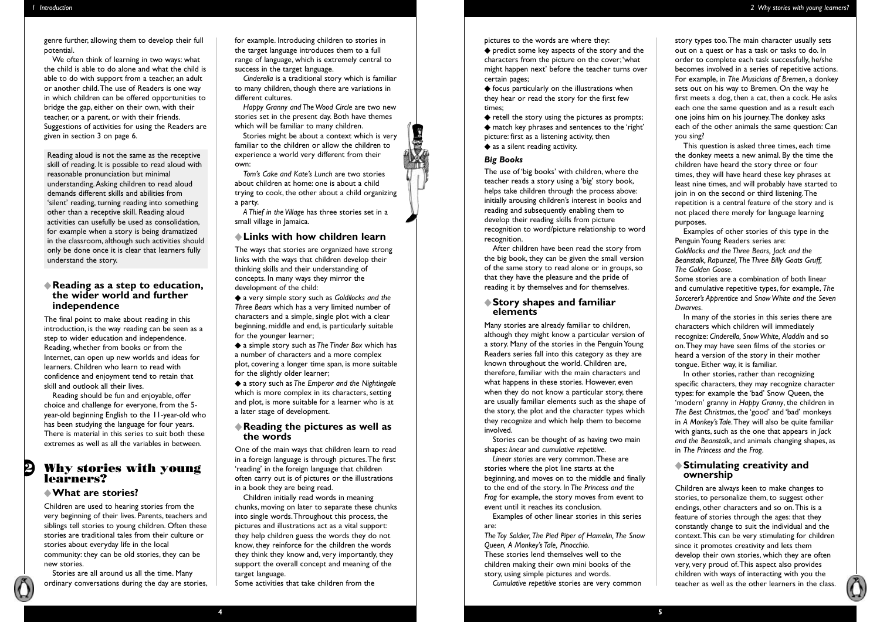for example. Introducing children to stories in the target language introduces them to a full range of language, which is extremely central to success in the target language.

*Cinderella* is a traditional story which is familiar to many children, though there are variations in different cultures.

*Happy Granny and The Wood Circle* are two new stories set in the present day. Both have themes which will be familiar to many children.

Stories might be about a context which is very familiar to the children or allow the children to experience a world very different from their own:

*Tom's Cake and Kate's Lunch* are two stories about children at home: one is about a child trying to cook, the other about a child organizing a party.

*A Thief in the Village* has three stories set in a small village in Jamaica.

#### ◆**Links with how children learn**

The ways that stories are organized have strong links with the ways that children develop their thinking skills and their understanding of concepts. In many ways they mirror the development of the child:

◆ a very simple story such as *Goldilocks and the Three Bears* which has a very limited number of characters and a simple, single plot with a clear beginning, middle and end, is particularly suitable for the younger learner;

◆ a simple story such as *The Tinder Box* which has a number of characters and a more complex plot, covering a longer time span, is more suitable for the slightly older learner;

◆ a story such as *The Emperor and the Nightingale* which is more complex in its characters, setting and plot, is more suitable for a learner who is at a later stage of development.

#### ◆**Reading the pictures as well as the words**

# **Why stories with young** learners?

One of the main ways that children learn to read in a foreign language is through pictures.The first 'reading' in the foreign language that children often carry out is of pictures or the illustrations in a book they are being read.

Children initially read words in meaning chunks, moving on later to separate these chunks into single words.Throughout this process, the pictures and illustrations act as a vital support: they help children guess the words they do not know, they reinforce for the children the words they think they know and, very importantly, they support the overall concept and meaning of the target language.

◆ focus particularly on the illustrations when they hear or read the story for the first few times;

Some activities that take children from the

genre further, allowing them to develop their full potential.

We often think of learning in two ways: what the child is able to do alone and what the child is able to do with support from a teacher, an adult or another child.The use of Readers is one way in which children can be offered opportunities to bridge the gap, either on their own, with their teacher, or a parent, or with their friends. Suggestions of activities for using the Readers are given in section 3 on page 6.

#### ◆**Reading as a step to education, the wider world and further independence**

The final point to make about reading in this introduction, is the way reading can be seen as a step to wider education and independence. Reading, whether from books or from the Internet, can open up new worlds and ideas for learners. Children who learn to read with confidence and enjoyment tend to retain that skill and outlook all their lives.

Reading should be fun and enjoyable, offer choice and challenge for everyone, from the 5 year-old beginning English to the 11-year-old who has been studying the language for four years. There is material in this series to suit both these extremes as well as all the variables in between.

#### ◆**What are stories?**

Children are used to hearing stories from the very beginning of their lives. Parents, teachers and siblings tell stories to young children. Often these stories are traditional tales from their culture or stories about everyday life in the local community: they can be old stories, they can be new stories.

Stories are all around us all the time. Many ordinary conversations during the day are stories, pictures to the words are where they:

◆ predict some key aspects of the story and the characters from the picture on the cover;'what might happen next' before the teacher turns over certain pages;

◆ retell the story using the pictures as prompts; ◆ match key phrases and sentences to the 'right'

picture: first as a listening activity, then

◆ as a silent reading activity.

#### *Big Books*

The use of 'big books' with children, where the teacher reads a story using a 'big' story book, helps take children through the process above: initially arousing children's interest in books and reading and subsequently enabling them to develop their reading skills from picture recognition to word/picture relationship to word recognition.

After children have been read the story from the big book, they can be given the small version of the same story to read alone or in groups, so that they have the pleasure and the pride of reading it by themselves and for themselves.

#### ◆**Story shapes and familiar elements**

Many stories are already familiar to children, although they might know a particular version of a story. Many of the stories in the Penguin Young Readers series fall into this category as they are known throughout the world. Children are, therefore, familiar with the main characters and what happens in these stories. However, even when they do not know a particular story, there are usually familiar elements such as the shape of the story, the plot and the character types which they recognize and which help them to become involved.

Stories can be thought of as having two main shapes: *linear* and *cumulative repetitive.*

*Linear stories* are very common.These are stories where the plot line starts at the beginning, and moves on to the middle and finally to the end of the story. In *The Princess and the Frog* for example, the story moves from event to event until it reaches its conclusion.

Examples of other linear stories in this series are:

*The Toy Soldier, The Pied Piper of Hamelin, The Snow Queen, A Monkey's Tale, Pinocchio.* These stories lend themselves well to the children making their own mini books of the story, using simple pictures and words.

*Cumulative repetitive* stories are very common

story types too.The main character usually sets out on a quest or has a task or tasks to do. In order to complete each task successfully, he/she becomes involved in a series of repetitive actions. For example, in *The Musicians of Bremen*, a donkey sets out on his way to Bremen. On the way he first meets a dog, then a cat, then a cock. He asks each one the same question and as a result each one joins him on his journey.The donkey asks each of the other animals the same question: Can you sing?

This question is asked three times, each time the donkey meets a new animal. By the time the children have heard the story three or four times, they will have heard these key phrases at least nine times, and will probably have started to join in on the second or third listening.The repetition is a central feature of the story and is not placed there merely for language learning purposes.

Examples of other stories of this type in the Penguin Young Readers series are:

*Goldilocks and the Three Bears, Jack and the Beanstalk, Rapunzel, The Three Billy Goats Gruff, The Golden Goose.*

Some stories are a combination of both linear and cumulative repetitive types, for example, *The Sorcerer's Apprentice* and *Snow White and the Seven Dwarves*.

In many of the stories in this series there are characters which children will immediately recognize: *Cinderella, Snow White, Aladdin* and so on.They may have seen films of the stories or heard a version of the story in their mother tongue. Either way, it is familiar.

In other stories, rather than recognizing specific characters, they may recognize character types: for example the 'bad' Snow Queen, the 'modern' granny in *Happy Granny*, the children in *The Best Christmas*, the 'good' and 'bad' monkeys in *A Monkey's Tale*.They will also be quite familiar with giants, such as the one that appears in *Jack and the Beanstalk*, and animals changing shapes, as in *The Princess and the Frog*.

#### ◆**Stimulating creativity and ownership**

Children are always keen to make changes to stories, to personalize them, to suggest other endings, other characters and so on.This is a feature of stories through the ages: that they constantly change to suit the individual and the context.This can be very stimulating for children since it promotes creativity and lets them develop their own stories, which they are often very, very proud of.This aspect also provides children with ways of interacting with you the teacher as well as the other learners in the class.



Reading aloud is not the same as the receptive skill of reading. It is possible to read aloud with reasonable pronunciation but minimal understanding.Asking children to read aloud demands different skills and abilities from 'silent' reading, turning reading into something other than a receptive skill. Reading aloud activities can usefully be used as consolidation, for example when a story is being dramatized in the classroom, although such activities should only be done once it is clear that learners fully understand the story.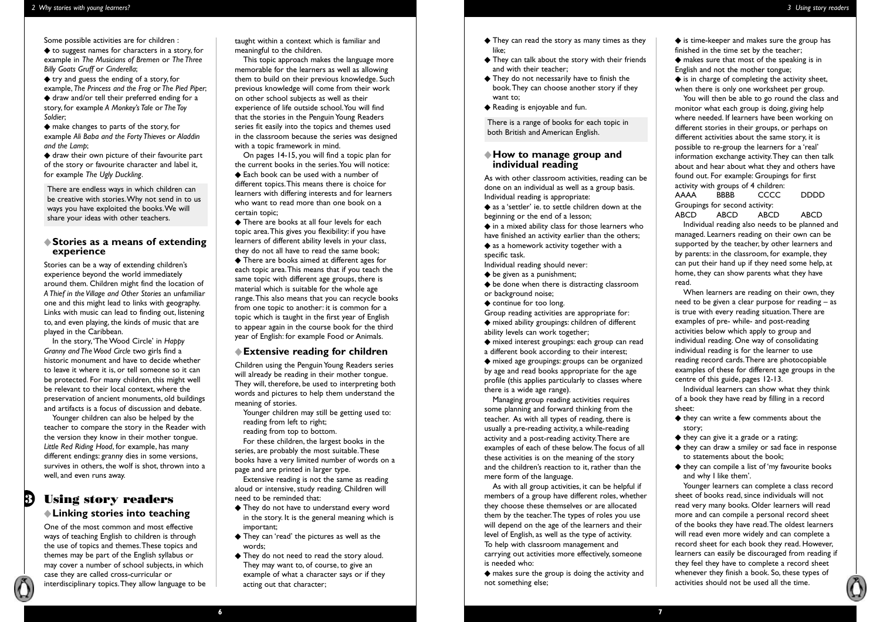- ◆ They can read the story as many times as they like;
- ◆ They can talk about the story with their friends and with their teacher;
- ◆ They do not necessarily have to finish the book.They can choose another story if they want to;
- ◆ Reading is enjoyable and fun.

◆ as a 'settler' ie. to settle children down at the beginning or the end of a lesson;

#### ◆**How to manage group and individual reading**

◆ as a homework activity together with a specific task.

As with other classroom activities, reading can be done on an individual as well as a group basis. Individual reading is appropriate:

◆ mixed interest groupings: each group can read a different book according to their interest;

◆ in a mixed ability class for those learners who have finished an activity earlier than the others;

Individual reading should never:

- ◆ be given as a punishment;
- ◆ be done when there is distracting classroom or background noise;
- ◆ continue for too long.

Group reading activities are appropriate for: ◆ mixed ability groupings: children of different ability levels can work together;

◆ makes sure the group is doing the activity and not something else;

◆ mixed age groupings: groups can be organized by age and read books appropriate for the age profile (this applies particularly to classes where there is a wide age range).

◆ is time-keeper and makes sure the group has finished in the time set by the teacher; ◆ makes sure that most of the speaking is in English and not the mother tongue;  $\blacklozenge$  is in charge of completing the activity sheet, when there is only one worksheet per group.

Managing group reading activities requires some planning and forward thinking from the teacher. As with all types of reading, there is usually a pre-reading activity, a while-reading activity and a post-reading activity.There are examples of each of these below.The focus of all these activities is on the meaning of the story and the children's reaction to it, rather than the mere form of the language.

As with all group activities, it can be helpful if members of a group have different roles, whether they choose these themselves or are allocated them by the teacher.The types of roles you use will depend on the age of the learners and their level of English, as well as the type of activity. To help with classroom management and carrying out activities more effectively, someone is needed who:

◆ to suggest names for characters in a story, for example in *The Musicians of Bremen* or *The Three Billy Goats Gruff* or *Cinderella*;

> You will then be able to go round the class and monitor what each group is doing, giving help where needed. If learners have been working on different stories in their groups, or perhaps on different activities about the same story, it is possible to re-group the learners for a 'real' information exchange activity.They can then talk about and hear about what they and others have found out. For example: Groupings for first activity with groups of 4 children:

AAAA BBBB CCCC DDDD Groupings for second activity: ABCD ABCD ABCD ABCD

Individual reading also needs to be planned and managed. Learners reading on their own can be supported by the teacher, by other learners and by parents: in the classroom, for example, they can put their hand up if they need some help, at home, they can show parents what they have read.

When learners are reading on their own, they need to be given a clear purpose for reading – as is true with every reading situation.There are examples of pre- while- and post-reading activities below which apply to group and individual reading. One way of consolidating individual reading is for the learner to use reading record cards.There are photocopiable examples of these for different age groups in the centre of this guide, pages 12-13.

Individual learners can show what they think of a book they have read by filling in a record sheet:

◆ Each book can be used with a number of different topics.This means there is choice for learners with differing interests and for learners who want to read more than one book on a certain topic;

◆ There are books at all four levels for each topic area.This gives you flexibility: if you have learners of different ability levels in your class, they do not all have to read the same book;

- ◆ they can write a few comments about the story;
- ◆ they can give it a grade or a rating;
- ◆ they can draw a smiley or sad face in response to statements about the book;
- ◆ they can compile a list of 'my favourite books and why I like them'.

◆ There are books aimed at different ages for each topic area.This means that if you teach the same topic with different age groups, there is material which is suitable for the whole age range.This also means that you can recycle books from one topic to another: it is common for a topic which is taught in the first year of English to appear again in the course book for the third year of English: for example Food or Animals.

Younger children may still be getting used to: reading from left to right;

> Younger learners can complete a class record sheet of books read, since individuals will not read very many books. Older learners will read more and can compile a personal record sheet of the books they have read.The oldest learners will read even more widely and can complete a record sheet for each book they read. However, learners can easily be discouraged from reading if they feel they have to complete a record sheet whenever they finish a book. So, these types of activities should not be used all the time.



There is a range of books for each topic in both British and American English.

Some possible activities are for children :

◆ try and guess the ending of a story, for example, *The Princess and the Frog* or *The Pied Piper*; ◆ draw and/or tell their preferred ending for a story, for example *A Monkey's Tale* or *The Toy Soldier*;

◆ make changes to parts of the story, for example *Ali Baba and the Forty Thieves* or *Aladdin and the Lamp*;

◆ draw their own picture of their favourite part of the story or favourite character and label it, for example *The Ugly Duckling*.

#### ◆**Stories as a means of extending experience**

Stories can be a way of extending children's experience beyond the world immediately around them. Children might find the location of *A Thief in the Village and Other Stories* an unfamiliar one and this might lead to links with geography. Links with music can lead to finding out, listening to, and even playing, the kinds of music that are played in the Caribbean.

In the story,'The Wood Circle' in *Happy Granny and The Wood Circle* two girls find a historic monument and have to decide whether to leave it where it is, or tell someone so it can be protected. For many children, this might well be relevant to their local context, where the preservation of ancient monuments, old buildings and artifacts is a focus of discussion and debate.

Younger children can also be helped by the teacher to compare the story in the Reader with the version they know in their mother tongue. *Little Red Riding Hood*, for example, has many different endings: granny dies in some versions, survives in others, the wolf is shot, thrown into a well, and even runs away.

# **Using story readers**  ◆**Linking stories into teaching**

One of the most common and most effective ways of teaching English to children is through the use of topics and themes.These topics and themes may be part of the English syllabus or may cover a number of school subjects, in which case they are called cross-curricular or interdisciplinary topics.They allow language to be taught within a context which is familiar and meaningful to the children.

This topic approach makes the language more memorable for the learners as well as allowing them to build on their previous knowledge. Such previous knowledge will come from their work on other school subjects as well as their experience of life outside school.You will find that the stories in the Penguin Young Readers series fit easily into the topics and themes used in the classroom because the series was designed with a topic framework in mind.

On pages 14-15, you will find a topic plan for the current books in the series.You will notice:

#### ◆**Extensive reading for children**

Children using the Penguin Young Readers series will already be reading in their mother tongue. They will, therefore, be used to interpreting both words and pictures to help them understand the meaning of stories.

reading from top to bottom.

For these children, the largest books in the series, are probably the most suitable.These books have a very limited number of words on a page and are printed in larger type.

Extensive reading is not the same as reading aloud or intensive, study reading. Children will need to be reminded that:

- ◆ They do not have to understand every word in the story. It is the general meaning which is important;
- ◆ They can 'read' the pictures as well as the words;
- ◆ They do not need to read the story aloud. They may want to, of course, to give an example of what a character says or if they acting out that character;

There are endless ways in which children can be creative with stories.Why not send in to us ways you have exploited the books.We will share your ideas with other teachers.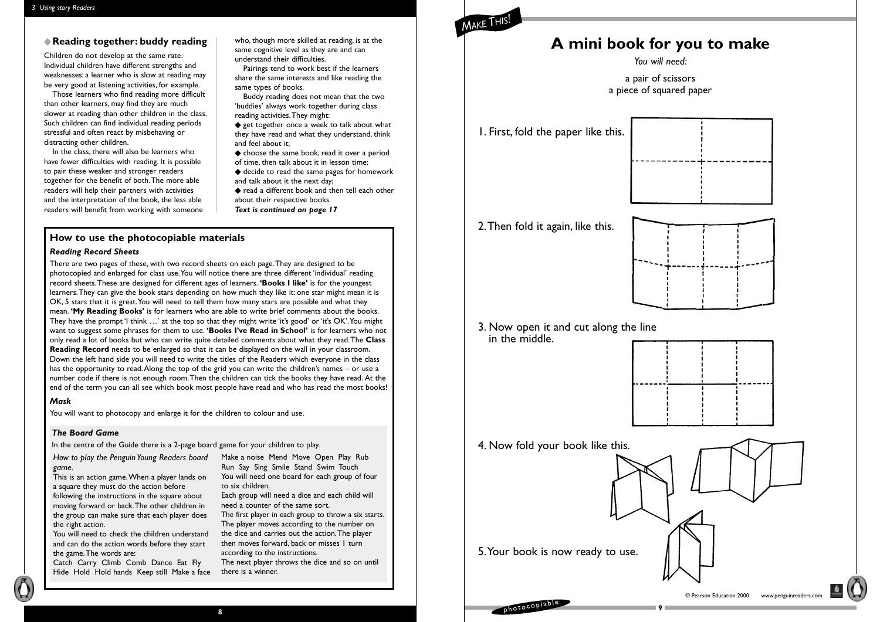

photocopiable

**9**

# ◆**Reading together: buddy reading**

Children do not develop at the same rate. Individual children have different strengths and weaknesses: a learner who is slow at reading may be very good at listening activities, for example.

Those learners who find reading more difficult than other learners, may find they are much slower at reading than other children in the class. Such children can find individual reading periods stressful and often react by misbehaving or distracting other children.

◆ get together once a week to talk about what they have read and what they understand, think and feel about it;

◆ choose the same book, read it over a period of time, then talk about it in lesson time;

◆ decide to read the same pages for homework and talk about it the next day;

◆ read a different book and then tell each other about their respective books.

In the class, there will also be learners who have fewer difficulties with reading. It is possible to pair these weaker and stronger readers together for the benefit of both.The more able readers will help their partners with activities and the interpretation of the book, the less able readers will benefit from working with someone who, though more skilled at reading, is at the same cognitive level as they are and can understand their difficulties.

Pairings tend to work best if the learners share the same interests and like reading the same types of books.

Buddy reading does not mean that the two 'buddies' always work together during class reading activities.They might:

*Text is continued on page 17*

© Pearson Education 2000 www.penguinreaders.com

### **How to use the photocopiable materials**

#### *Reading Record Sheets*

There are two pages of these, with two record sheets on each page.They are designed to be photocopied and enlarged for class use.You will notice there are three different 'individual' reading record sheets.These are designed for different ages of learners. **'Books I like'** is for the youngest learners.They can give the book stars depending on how much they like it: one star might mean it is OK, 5 stars that it is great.You will need to tell them how many stars are possible and what they mean. **'My Reading Books'** is for learners who are able to write brief comments about the books. They have the prompt 'I think …' at the top so that they might write 'it's good' or 'it's OK'.You might want to suggest some phrases for them to use. **'Books I've Read in School'** is for learners who not only read a lot of books but who can write quite detailed comments about what they read.The **Class Reading Record** needs to be enlarged so that it can be displayed on the wall in your classroom. Down the left hand side you will need to write the titles of the Readers which everyone in the class has the opportunity to read. Along the top of the grid you can write the children's names – or use a number code if there is not enough room.Then the children can tick the books they have read. At the end of the term you can all see which book most people have read and who has read the most books!

#### *Mask*

You will want to photocopy and enlarge it for the children to colour and use.

#### *The Board Game*

In the centre of the Guide there is a 2-page board game for your children to play.

*How to play the Penguin Young Readers board game.*

This is an action game.When a player lands on a square they must do the action before

following the instructions in the square about moving forward or back.The other children in the group can make sure that each player does the right action.

You will need to check the children understand and can do the action words before they start the game.The words are:

Catch Carry Climb Comb Dance Eat Fly Hide Hold Hold hands Keep still Make a face

Make a noise Mend Move Open Play Rub Run Say Sing Smile Stand Swim Touch You will need one board for each group of four to six children.

Each group will need a dice and each child will need a counter of the same sort. The first player in each group to throw a six starts. The player moves according to the number on the dice and carries out the action.The player then moves forward, back or misses 1 turn according to the instructions.

The next player throws the dice and so on until there is a winner.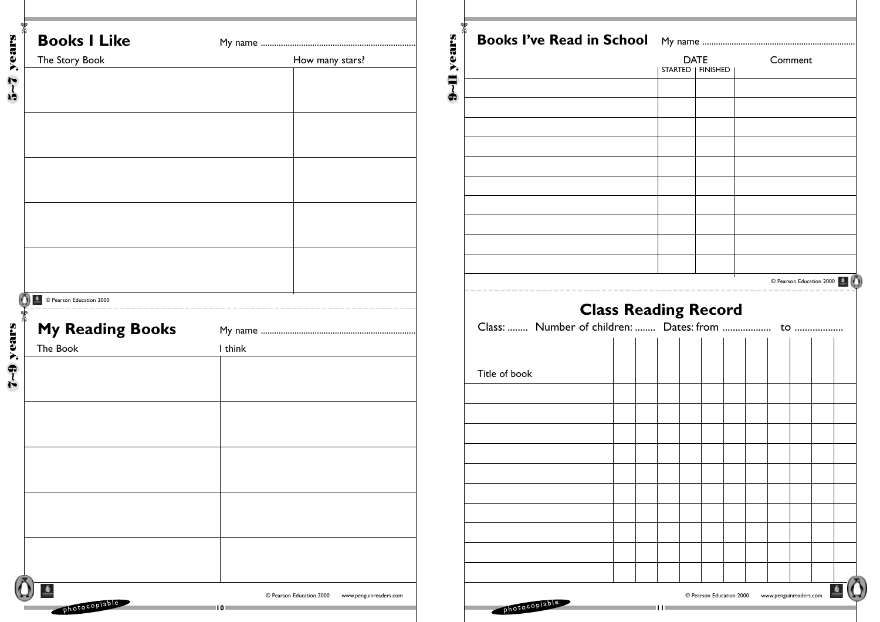|                 |                | <b>Books I've Read in School</b> |                             |                                   |                          |                              |
|-----------------|----------------|----------------------------------|-----------------------------|-----------------------------------|--------------------------|------------------------------|
| How many stars? | years          |                                  |                             | <b>DATE</b><br>STARTED   FINISHED | Comment                  |                              |
|                 | Ş<br>$\bullet$ |                                  |                             |                                   |                          |                              |
|                 |                |                                  |                             |                                   |                          |                              |
|                 |                |                                  |                             |                                   |                          |                              |
|                 |                |                                  |                             |                                   |                          |                              |
|                 |                |                                  |                             |                                   |                          |                              |
|                 |                |                                  |                             |                                   |                          |                              |
|                 |                |                                  |                             |                                   |                          |                              |
|                 |                |                                  |                             |                                   |                          |                              |
|                 |                |                                  |                             |                                   | © Pearson Education 2000 |                              |
|                 |                |                                  |                             |                                   |                          |                              |
|                 |                |                                  | <b>Class Reading Record</b> |                                   |                          |                              |
| I think         |                |                                  |                             |                                   |                          |                              |
|                 |                | Title of book                    |                             |                                   |                          |                              |
|                 |                |                                  |                             |                                   |                          |                              |
|                 |                |                                  |                             |                                   |                          |                              |
|                 |                |                                  |                             |                                   |                          |                              |
|                 |                |                                  |                             |                                   |                          |                              |
|                 |                |                                  |                             |                                   |                          |                              |
|                 |                |                                  |                             |                                   |                          |                              |
|                 |                |                                  |                             |                                   |                          |                              |
|                 |                |                                  |                             |                                   |                          |                              |
|                 |                |                                  |                             |                                   |                          |                              |
|                 |                |                                  |                             |                                   |                          | $\overline{\mathbb{Q}}$<br>≛ |

| The Story Book           |             | How many stars? |  |
|--------------------------|-------------|-----------------|--|
|                          |             |                 |  |
|                          |             |                 |  |
|                          |             |                 |  |
|                          |             |                 |  |
|                          |             |                 |  |
|                          |             |                 |  |
|                          |             |                 |  |
|                          |             |                 |  |
|                          |             |                 |  |
|                          |             |                 |  |
|                          |             |                 |  |
|                          |             |                 |  |
| © Pearson Education 2000 |             |                 |  |
|                          | ----------- |                 |  |
| <b>My Reading Books</b>  |             |                 |  |
|                          | I think     |                 |  |
| The Book                 |             |                 |  |
|                          |             |                 |  |
|                          |             |                 |  |
|                          |             |                 |  |
|                          |             |                 |  |
|                          |             |                 |  |
|                          |             |                 |  |
|                          |             |                 |  |
|                          |             |                 |  |
|                          |             |                 |  |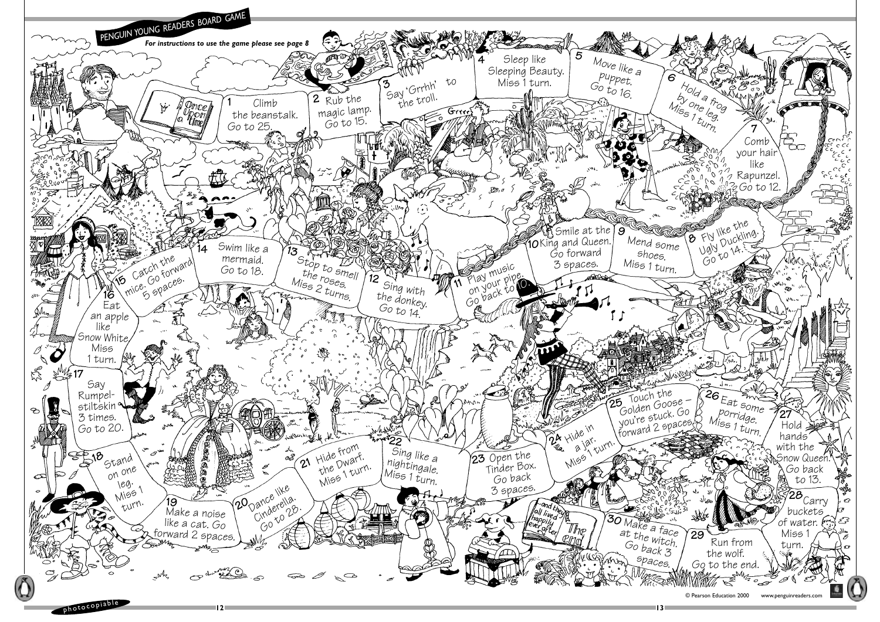

**6** Hold a frog  $b_y = \frac{b_y}{c} \int_{c_{0}}^{c_{0}} c_y$  $M_{15S}^{10}$  is  $1$  turn. **7** Comb your hair like Rapunzel.  $^{\prime}$  Go to 12. **8** Fly like the Fly like<br>Ugly Duckling.  $60^{13}$  14. Es  $\sqrt{26}_{Eat~\text{some}}$ porridge. **27** Miss 1 turn. Hold hands with the Snow Quee'r Go back to 13. 28 <sub>Carry</sub> ↶ buckets of water. **29** Miss<sup>1</sup> Run from turn. the wolf. Go to the end. © Pearson Education 2000 www.penguinreaders.com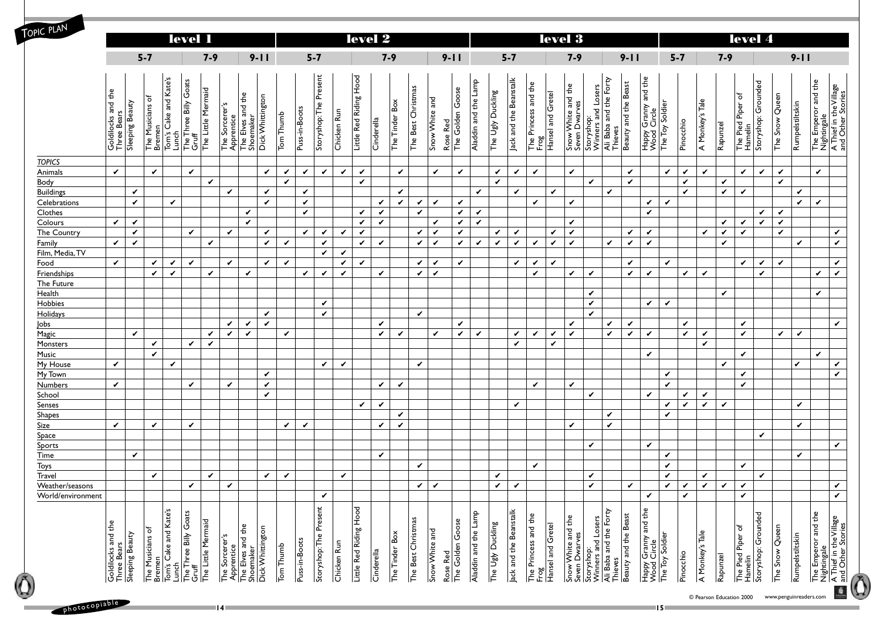| TOPIC PLAN        |                                   |                 |                                                            |                                     | level 1                                    |                                             |              |                                                                |                            | level 2      |                    |                            |              |                                      |                            |                   |                                   |                            |                                                 | level 3                    |                   |                                 |                            |                      |                                     |                                        |                                   |                         | level 4                                                                     |              |                            |                    |                    |                            |                                |                    |                 |                                                              |              |
|-------------------|-----------------------------------|-----------------|------------------------------------------------------------|-------------------------------------|--------------------------------------------|---------------------------------------------|--------------|----------------------------------------------------------------|----------------------------|--------------|--------------------|----------------------------|--------------|--------------------------------------|----------------------------|-------------------|-----------------------------------|----------------------------|-------------------------------------------------|----------------------------|-------------------|---------------------------------|----------------------------|----------------------|-------------------------------------|----------------------------------------|-----------------------------------|-------------------------|-----------------------------------------------------------------------------|--------------|----------------------------|--------------------|--------------------|----------------------------|--------------------------------|--------------------|-----------------|--------------------------------------------------------------|--------------|
|                   |                                   |                 | $5 - 7$                                                    |                                     |                                            | $7 - 9$                                     |              |                                                                | $9 - 11$                   |              |                    | $5 - 7$                    |              |                                      |                            | $7 - 9$           |                                   |                            | $9 - 11$                                        |                            |                   | $5 - 7$                         |                            |                      | $7 - 9$                             |                                        |                                   | $9 - 11$                |                                                                             |              | $5 - 7$                    |                    | $7 - 9$            |                            |                                |                    | $9 - 11$        |                                                              |              |
|                   | Goldilocks and the<br>Three Bears | Sleeping Beauty | ৳<br>The Musicians of<br>Bremen<br>Tom's Cake and<br>Lunch | Cake and Kate's                     | Goats<br>The Three Billy (<br>Gruff        | Little Mermaid<br>$\overline{\mathsf{The}}$ |              | The Sorcerer's<br>Apprentice<br>The Elves and the<br>Shoemaker | Dick Whittington           | Tom Thumb    | Puss-in-Boots      | Present<br>Storyshop: The  | Chicken Run  | Hood<br>Little Red Riding            | Cinderella                 | Box<br>The Tinder | Christmas<br>Best<br>$\mathbb{F}$ | and<br>Snow White          | Goose<br>Golden<br>Red<br>Rose<br>$\frac{e}{1}$ | the Lamp<br>Aladdin and    | The Ugly Duckling | Beanstalk<br>the<br>and<br>Jack | The Princess and the<br>ၓိ | Gretel<br>Hansel and | Snow White and the<br>Seven Dwarves | and Losers<br>Storyshop:<br>Winners an | Ali Baba and the Forty<br>Thieves | and the Beast<br>Beauty | $\frac{e}{\sqrt{1}}$<br>Happy Gramy and t<br>Wood Circle<br>The Toy Soldier |              | Pinocchio                  | A Monkey's Tale    | Rapunzel           | ᡃᢅᡠ<br>The Pied Piper      | Hamelin<br>Storyshop: Grounded | Queen<br>The Snow  | Rumpelstiltskin | The Emperor and the<br>Nightingale<br>A Thief in the Village |              |
| <b>TOPICS</b>     |                                   |                 |                                                            |                                     |                                            |                                             |              |                                                                |                            |              |                    |                            |              |                                      |                            |                   |                                   |                            |                                                 |                            |                   |                                 |                            |                      |                                     |                                        |                                   |                         |                                                                             |              |                            |                    |                    |                            |                                |                    |                 |                                                              |              |
| Animals           | $\checkmark$                      |                 | $\checkmark$                                               |                                     | V                                          |                                             |              |                                                                | $\checkmark$               | $\checkmark$ | V                  | $\checkmark$               | $\checkmark$ | $\checkmark$                         |                            | $\checkmark$      |                                   | $\boldsymbol{\mathcal{U}}$ | $\checkmark$                                    |                            | $\checkmark$      | $\checkmark$                    | V                          |                      | $\checkmark$                        |                                        |                                   | $\checkmark$            |                                                                             | $\checkmark$ | $\checkmark$               | $\checkmark$       |                    | $\checkmark$               | $\checkmark$                   | $\checkmark$       |                 | $\checkmark$                                                 |              |
| Body              |                                   |                 |                                                            |                                     |                                            | $\checkmark$                                |              |                                                                |                            | $\checkmark$ |                    |                            |              | $\checkmark$                         |                            |                   |                                   |                            |                                                 |                            | $\checkmark$      |                                 |                            |                      |                                     | $\boldsymbol{\mathcal{U}}$             |                                   | $\checkmark$            |                                                                             |              | $\checkmark$               |                    | $\boldsymbol{\nu}$ |                            |                                | $\checkmark$       |                 |                                                              |              |
| <b>Buildings</b>  |                                   | $\checkmark$    |                                                            |                                     |                                            |                                             | $\checkmark$ |                                                                | $\boldsymbol{\mathcal{U}}$ |              | $\checkmark$       |                            |              |                                      |                            | $\checkmark$      |                                   |                            |                                                 | $\checkmark$               |                   | $\checkmark$                    |                            | $\checkmark$         |                                     |                                        | $\checkmark$                      |                         |                                                                             |              | $\boldsymbol{\mathcal{U}}$ |                    | $\checkmark$       | $\boldsymbol{\nu}$         |                                |                    | $\checkmark$    |                                                              |              |
| Celebrations      |                                   | $\checkmark$    |                                                            | $\checkmark$                        |                                            |                                             |              |                                                                | $\checkmark$               |              | $\checkmark$       |                            |              |                                      | $\boldsymbol{\nu}$         | $\checkmark$      | V                                 | $\boldsymbol{\nu}$         | $\checkmark$                                    |                            |                   |                                 | V                          |                      | $\checkmark$                        |                                        |                                   |                         | $\checkmark$                                                                | $\checkmark$ |                            |                    |                    |                            |                                |                    | $\checkmark$    | $\checkmark$                                                 |              |
| Clothes           |                                   |                 |                                                            |                                     |                                            |                                             |              | $\checkmark$                                                   |                            |              | $\checkmark$       |                            |              | $\checkmark$                         | $\checkmark$               |                   | $\boldsymbol{\mathcal{U}}$        |                            | $\checkmark$                                    | $\checkmark$               |                   |                                 |                            |                      |                                     |                                        |                                   |                         | $\checkmark$                                                                |              |                            |                    |                    |                            | V                              | $\checkmark$       |                 |                                                              |              |
| Colours           | $\checkmark$                      | $\checkmark$    |                                                            |                                     |                                            |                                             |              | $\checkmark$                                                   |                            |              |                    |                            |              | $\checkmark$                         | $\mathbf v$                |                   |                                   | $\boldsymbol{\nu}$         | $\checkmark$                                    | $\boldsymbol{\mathcal{U}}$ |                   |                                 |                            |                      | $\boldsymbol{\mathcal{U}}$          |                                        |                                   |                         |                                                                             |              |                            |                    | $\checkmark$       | $\checkmark$               | $\checkmark$                   | $\checkmark$       |                 |                                                              |              |
| The Country       |                                   | $\checkmark$    |                                                            |                                     | $\checkmark$                               |                                             | $\checkmark$ |                                                                | $\checkmark$               |              | $\boldsymbol{\nu}$ | $\checkmark$               | $\checkmark$ | $\checkmark$                         |                            |                   | $\boldsymbol{\mathcal{U}}$        | $\boldsymbol{\nu}$         | $\checkmark$                                    |                            | $\checkmark$      | $\checkmark$                    |                            | $\checkmark$         | $\checkmark$                        |                                        |                                   | V                       | $\mathbf v$                                                                 |              |                            | $\checkmark$       | $\checkmark$       | $\boldsymbol{\nu}$         |                                | $\boldsymbol{\nu}$ |                 |                                                              | $\checkmark$ |
| Family            | $\checkmark$                      | $\checkmark$    |                                                            |                                     |                                            | $\checkmark$                                |              |                                                                | $\checkmark$               | $\checkmark$ |                    | $\checkmark$               |              | $\checkmark$                         | V                          |                   | V                                 | $\boldsymbol{\nu}$         | $\checkmark$                                    | V                          | $\checkmark$      | $\checkmark$                    | V                          | $\checkmark$         | $\boldsymbol{\nu}$                  |                                        | $\checkmark$                      | $\checkmark$            | $\checkmark$                                                                |              |                            |                    | $\boldsymbol{\nu}$ |                            |                                |                    | $\checkmark$    |                                                              | $\checkmark$ |
| Film, Media, TV   |                                   |                 |                                                            |                                     |                                            |                                             |              |                                                                |                            |              |                    | $\checkmark$               | $\checkmark$ |                                      |                            |                   |                                   |                            |                                                 |                            |                   |                                 |                            |                      |                                     |                                        |                                   |                         |                                                                             |              |                            |                    |                    |                            |                                |                    |                 |                                                              |              |
| Food              | $\checkmark$                      |                 | $\checkmark$                                               | V                                   | V                                          |                                             | $\checkmark$ |                                                                | V                          | $\checkmark$ |                    |                            | $\checkmark$ | $\checkmark$                         |                            |                   | ✓                                 | $\boldsymbol{\mathcal{U}}$ | $\checkmark$                                    |                            |                   | $\checkmark$                    | V                          | $\checkmark$         |                                     |                                        |                                   | $\checkmark$            |                                                                             | $\checkmark$ |                            |                    |                    | $\checkmark$               | $\checkmark$                   | $\checkmark$       |                 |                                                              | $\checkmark$ |
| Friendships       |                                   |                 | $\boldsymbol{\mathcal{U}}$                                 | $\boldsymbol{\nu}$                  |                                            | ✓                                           |              | $\checkmark$                                                   |                            |              | $\checkmark$       | $\checkmark$               | $\checkmark$ |                                      | $\boldsymbol{\mathcal{U}}$ |                   | V                                 | $\boldsymbol{\nu}$         |                                                 |                            |                   |                                 | $\checkmark$               |                      | $\checkmark$                        | $\checkmark$                           |                                   | $\checkmark$            | $\boldsymbol{\nu}$                                                          |              | $\checkmark$               | $\boldsymbol{\nu}$ |                    |                            | $\checkmark$                   |                    |                 | $\checkmark$                                                 | $\mathbf v$  |
| The Future        |                                   |                 |                                                            |                                     |                                            |                                             |              |                                                                |                            |              |                    |                            |              |                                      |                            |                   |                                   |                            |                                                 |                            |                   |                                 |                            |                      |                                     |                                        |                                   |                         |                                                                             |              |                            |                    |                    |                            |                                |                    |                 |                                                              |              |
| Health            |                                   |                 |                                                            |                                     |                                            |                                             |              |                                                                |                            |              |                    |                            |              |                                      |                            |                   |                                   |                            |                                                 |                            |                   |                                 |                            |                      |                                     | $\checkmark$                           |                                   |                         |                                                                             |              |                            |                    | $\checkmark$       |                            |                                |                    |                 | $\checkmark$                                                 |              |
| Hobbies           |                                   |                 |                                                            |                                     |                                            |                                             |              |                                                                |                            |              |                    | $\checkmark$               |              |                                      |                            |                   |                                   |                            |                                                 |                            |                   |                                 |                            |                      |                                     | $\checkmark$                           |                                   |                         | $\checkmark$                                                                | $\checkmark$ |                            |                    |                    |                            |                                |                    |                 |                                                              |              |
| Holidays          |                                   |                 |                                                            |                                     |                                            |                                             |              |                                                                | $\checkmark$               |              |                    | $\checkmark$               |              |                                      |                            |                   | V                                 |                            |                                                 |                            |                   |                                 |                            |                      |                                     | $\checkmark$                           |                                   |                         |                                                                             |              |                            |                    |                    |                            |                                |                    |                 |                                                              |              |
| Jobs              |                                   |                 |                                                            |                                     |                                            |                                             | $\checkmark$ | $\checkmark$                                                   | $\checkmark$               |              |                    |                            |              |                                      | $\boldsymbol{\mathcal{U}}$ |                   |                                   |                            | $\checkmark$                                    |                            |                   |                                 |                            |                      | $\checkmark$                        |                                        | $\checkmark$                      | V                       |                                                                             |              | $\checkmark$               |                    |                    | $\checkmark$               |                                |                    |                 |                                                              | $\checkmark$ |
| Magic             |                                   | $\checkmark$    |                                                            |                                     |                                            | V                                           | V            | $\checkmark$                                                   |                            | $\checkmark$ |                    |                            |              |                                      | $\checkmark$               | $\checkmark$      |                                   | $\boldsymbol{\mathcal{U}}$ | $\checkmark$                                    | $\checkmark$               |                   | $\checkmark$                    | V                          | V                    | $\checkmark$                        |                                        | $\checkmark$                      | $\checkmark$            | $\boldsymbol{\mathcal{U}}$                                                  |              | $\checkmark$               | V                  |                    | $\checkmark$               |                                | $\checkmark$       | $\checkmark$    |                                                              |              |
| Monsters          |                                   |                 | $\checkmark$                                               |                                     | $\checkmark$                               | $\checkmark$                                |              |                                                                |                            |              |                    |                            |              |                                      |                            |                   |                                   |                            |                                                 |                            |                   | ✓                               |                            | V                    |                                     |                                        |                                   |                         |                                                                             |              |                            | $\checkmark$       |                    |                            |                                |                    |                 |                                                              |              |
| Music             |                                   |                 | $\checkmark$                                               |                                     |                                            |                                             |              |                                                                |                            |              |                    |                            |              |                                      |                            |                   |                                   |                            |                                                 |                            |                   |                                 |                            |                      |                                     |                                        |                                   |                         | $\boldsymbol{\nu}$                                                          |              |                            |                    |                    | $\boldsymbol{\mathcal{U}}$ |                                |                    |                 | $\boldsymbol{\nu}$                                           |              |
| My House          | $\checkmark$                      |                 |                                                            | $\checkmark$                        |                                            |                                             |              |                                                                |                            |              |                    | $\checkmark$               | $\checkmark$ |                                      |                            |                   | V                                 |                            |                                                 |                            |                   |                                 |                            |                      |                                     |                                        |                                   |                         |                                                                             |              |                            |                    | $\checkmark$       |                            |                                |                    | $\checkmark$    |                                                              | $\checkmark$ |
| My Town           |                                   |                 |                                                            |                                     |                                            |                                             |              |                                                                | $\checkmark$               |              |                    |                            |              |                                      |                            |                   |                                   |                            |                                                 |                            |                   |                                 |                            |                      |                                     |                                        |                                   |                         |                                                                             | $\checkmark$ |                            |                    |                    | V                          |                                |                    |                 |                                                              | $\checkmark$ |
| Numbers           | $\checkmark$                      |                 |                                                            |                                     | V                                          |                                             | V            |                                                                | $\checkmark$               |              |                    |                            |              |                                      | $\boldsymbol{\mathcal{U}}$ | $\checkmark$      |                                   |                            |                                                 |                            |                   |                                 | $\checkmark$               |                      | $\checkmark$                        |                                        |                                   |                         |                                                                             | $\checkmark$ |                            |                    |                    | $\checkmark$               |                                |                    |                 |                                                              |              |
| School            |                                   |                 |                                                            |                                     |                                            |                                             |              |                                                                | $\checkmark$               |              |                    |                            |              |                                      |                            |                   |                                   |                            |                                                 |                            |                   |                                 |                            |                      |                                     | $\checkmark$                           |                                   |                         | $\checkmark$                                                                |              | $\checkmark$               | V                  |                    |                            |                                |                    |                 |                                                              |              |
| Senses            |                                   |                 |                                                            |                                     |                                            |                                             |              |                                                                |                            |              |                    |                            |              | $\checkmark$                         | $\checkmark$               |                   |                                   |                            |                                                 |                            |                   | $\checkmark$                    |                            |                      |                                     |                                        |                                   |                         |                                                                             | $\checkmark$ | $\checkmark$               | $\checkmark$       | $\checkmark$       |                            |                                |                    | $\checkmark$    |                                                              |              |
| <b>Shapes</b>     |                                   |                 |                                                            |                                     |                                            |                                             |              |                                                                |                            |              |                    |                            |              |                                      |                            | $\checkmark$      |                                   |                            |                                                 |                            |                   |                                 |                            |                      |                                     |                                        | $\boldsymbol{\mathcal{U}}$        |                         |                                                                             | $\checkmark$ |                            |                    |                    |                            |                                |                    |                 |                                                              |              |
| Size              | $\checkmark$                      |                 | $\checkmark$                                               |                                     | $\checkmark$                               |                                             |              |                                                                |                            | $\checkmark$ | $\checkmark$       |                            |              |                                      | $\checkmark$               | $\checkmark$      |                                   |                            |                                                 |                            |                   |                                 |                            |                      | $\checkmark$                        |                                        | $\boldsymbol{\nu}$                |                         |                                                                             |              |                            |                    |                    |                            |                                |                    | $\checkmark$    |                                                              |              |
| Space             |                                   |                 |                                                            |                                     |                                            |                                             |              |                                                                |                            |              |                    |                            |              |                                      |                            |                   |                                   |                            |                                                 |                            |                   |                                 |                            |                      |                                     |                                        |                                   |                         |                                                                             |              |                            |                    |                    |                            | $\checkmark$                   |                    |                 |                                                              |              |
| Sports            |                                   |                 |                                                            |                                     |                                            |                                             |              |                                                                |                            |              |                    |                            |              |                                      |                            |                   |                                   |                            |                                                 |                            |                   |                                 |                            |                      |                                     | $\checkmark$                           |                                   |                         | $\checkmark$                                                                |              |                            |                    |                    |                            |                                |                    |                 |                                                              | $\checkmark$ |
| Time              |                                   | $\checkmark$    |                                                            |                                     |                                            |                                             |              |                                                                |                            |              |                    |                            |              |                                      | $\checkmark$               |                   |                                   |                            |                                                 |                            |                   |                                 |                            |                      |                                     |                                        |                                   |                         |                                                                             | V            |                            |                    |                    |                            |                                |                    | $\checkmark$    |                                                              |              |
| Toys              |                                   |                 |                                                            |                                     |                                            |                                             |              |                                                                |                            |              |                    |                            |              |                                      |                            |                   | $\checkmark$                      |                            |                                                 |                            |                   |                                 | $\checkmark$               |                      |                                     |                                        |                                   |                         |                                                                             | $\checkmark$ |                            |                    |                    | $\checkmark$               |                                |                    |                 |                                                              |              |
| <b>Travel</b>     |                                   |                 | $\checkmark$                                               |                                     |                                            | $\checkmark$                                |              |                                                                | $\checkmark$               | $\checkmark$ |                    |                            | $\checkmark$ |                                      |                            |                   |                                   |                            |                                                 |                            | $\checkmark$      |                                 |                            |                      |                                     | $\checkmark$                           |                                   |                         |                                                                             | $\checkmark$ |                            | $\checkmark$       |                    |                            | $\checkmark$                   |                    |                 |                                                              |              |
| Weather/seasons   |                                   |                 |                                                            |                                     | $\checkmark$                               |                                             | $\checkmark$ |                                                                |                            |              |                    |                            |              |                                      |                            |                   | V                                 | $\boldsymbol{\mathcal{U}}$ |                                                 |                            | $\checkmark$      | $\checkmark$                    |                            |                      |                                     | $\checkmark$                           |                                   | $\checkmark$            |                                                                             | $\checkmark$ | V                          | $\checkmark$       | $\checkmark$       | V                          |                                |                    |                 |                                                              | $\checkmark$ |
| World/environment |                                   |                 |                                                            |                                     |                                            |                                             |              |                                                                |                            |              |                    | $\boldsymbol{\mathcal{U}}$ |              |                                      |                            |                   |                                   |                            |                                                 |                            |                   |                                 |                            |                      |                                     |                                        |                                   |                         | $\checkmark$                                                                |              | $\checkmark$               |                    |                    | $\checkmark$               |                                |                    |                 |                                                              | $\checkmark$ |
|                   | Goldilocks and the<br>Three Bears | Sleeping Beauty | ৳<br>The Musicians<br>Bremen                               | Kate's<br>Tom's Cake and k<br>Lunch | Goats<br>The Three Billy <b>v</b><br>Gruff | Mermaid<br>The Little                       |              | The Sorcerer's<br>Apprentice<br>The Elves and the<br>Shoemaker | Dick Whittington           | Tom Thumb    | Puss-in-Boots      | Present<br>Storyshop: The  | Chicken Run  | $\frac{8}{100}$<br>Little Red Riding | Cinderella                 | Box<br>The Tinder | Christmas<br>Best                 | and<br>Snow White          | Goose<br>Golden<br>Red                          | the Lamp<br>Aladdin and    | The Ugly Duckling | Beanstalk<br>the<br>and         | The Princess and the       | Gretel<br>Hansel and | Snow White and the<br>Seven Dwarves | Storyshop:<br>Winners and Losers       | Ali Baba and the Forty<br>Thieves | Beauty and the Beast    | Happy Granny and the<br>Wood Circle<br>The Toy Soldier                      |              | Pinocchio                  | A Monkey's Tale    | Rapunzel           | ৳<br>The Pied Piper        | Grounded<br>Storyshop:         | Queen<br>The Snow  | Rumpelstiltskin | The Emperor and the<br>Nightingale<br>A Thief in the Village |              |
|                   |                                   |                 |                                                            |                                     |                                            |                                             |              |                                                                |                            |              |                    |                            |              |                                      |                            |                   | $\overline{\mathsf{The}}$         |                            | Rose<br>The                                     |                            |                   | lack                            | စ္ပ္တစ                     |                      |                                     |                                        |                                   |                         |                                                                             |              |                            |                    |                    | Hamelin                    |                                |                    |                 |                                                              |              |

| The Toy Soldier                   | Pinocchio                       | A Monkey's Tale                 | Rapunzel      | The Pied Piper of<br>Hamelin    | Storyshop: Grounded | The Snow Queen | Rumpelstiltskin                 | The Emperor and the<br>Nightingale | A Thief in the Village<br>and Other Stories |
|-----------------------------------|---------------------------------|---------------------------------|---------------|---------------------------------|---------------------|----------------|---------------------------------|------------------------------------|---------------------------------------------|
| $\checkmark$                      |                                 | V                               |               |                                 |                     |                |                                 |                                    |                                             |
|                                   | $\frac{\nu}{\nu}$               |                                 |               |                                 |                     | $\frac{v}{v}$  |                                 |                                    |                                             |
|                                   |                                 |                                 | $\frac{v}{v}$ |                                 |                     |                | $\frac{\checkmark}{\checkmark}$ |                                    |                                             |
| $\overline{\mathbf{v}}$           |                                 |                                 |               |                                 |                     |                |                                 |                                    |                                             |
|                                   |                                 |                                 |               |                                 | $\frac{v}{v}$       | $\frac{1}{2}$  |                                 |                                    |                                             |
|                                   |                                 |                                 |               | $\frac{v}{v}$                   |                     |                |                                 |                                    |                                             |
|                                   |                                 |                                 | $\frac{6}{5}$ |                                 |                     |                |                                 |                                    | $\frac{v}{v}$                               |
|                                   |                                 |                                 |               |                                 |                     |                |                                 |                                    |                                             |
| V                                 |                                 |                                 |               |                                 |                     |                |                                 |                                    |                                             |
|                                   |                                 |                                 |               |                                 | $\frac{v}{v}$       |                |                                 |                                    | $\frac{\overline{}}{\mathbf{v}}$            |
|                                   |                                 |                                 |               |                                 |                     |                |                                 |                                    |                                             |
|                                   |                                 |                                 |               |                                 |                     |                |                                 |                                    |                                             |
| V                                 |                                 |                                 |               |                                 |                     |                |                                 |                                    |                                             |
|                                   |                                 |                                 |               |                                 |                     |                |                                 |                                    |                                             |
|                                   | $\frac{\checkmark}{\checkmark}$ |                                 |               | $\frac{v}{v}$                   |                     |                |                                 |                                    |                                             |
|                                   |                                 | $\frac{v}{v}$                   |               |                                 |                     |                |                                 |                                    |                                             |
|                                   |                                 |                                 |               |                                 |                     |                |                                 |                                    |                                             |
|                                   |                                 |                                 |               | $\overline{\mathbf{v}}$         |                     |                |                                 |                                    |                                             |
|                                   |                                 |                                 |               | $\frac{\nu}{\nu}$               |                     |                |                                 |                                    | $\frac{v}{v}$                               |
| $\frac{\overline{}}{\overline{}}$ |                                 |                                 |               |                                 |                     |                |                                 |                                    |                                             |
|                                   | V                               | V                               |               |                                 |                     |                |                                 |                                    |                                             |
| $\frac{\nu}{\nu}$                 | V                               |                                 |               |                                 |                     |                |                                 |                                    |                                             |
|                                   |                                 |                                 |               |                                 |                     |                |                                 |                                    |                                             |
|                                   |                                 |                                 |               |                                 | V                   |                | V                               |                                    |                                             |
|                                   |                                 |                                 |               |                                 |                     |                |                                 |                                    |                                             |
|                                   |                                 |                                 |               |                                 |                     |                |                                 |                                    |                                             |
| $\frac{2}{5}$                     |                                 |                                 |               |                                 |                     |                |                                 |                                    |                                             |
|                                   |                                 | $\frac{\checkmark}{\checkmark}$ |               |                                 |                     |                |                                 |                                    |                                             |
|                                   | $\frac{v}{v}$                   |                                 |               | $\frac{\checkmark}{\checkmark}$ |                     |                |                                 |                                    | $\frac{v}{v}$                               |
|                                   |                                 |                                 |               |                                 |                     |                |                                 |                                    |                                             |
| The Toy Soldier                   | Pinocchio                       | A Monkey's Tale                 | Rapunzel      | The Pied Piper of<br>Hamelin    | Storyshop: Grounded | The Snow Queen | Rumpelstiltskin                 | The Emperor and the<br>Nightingale | A Thief in the Village<br>and Other Stories |

© Pearson Education 2000 www.penguinreaders.com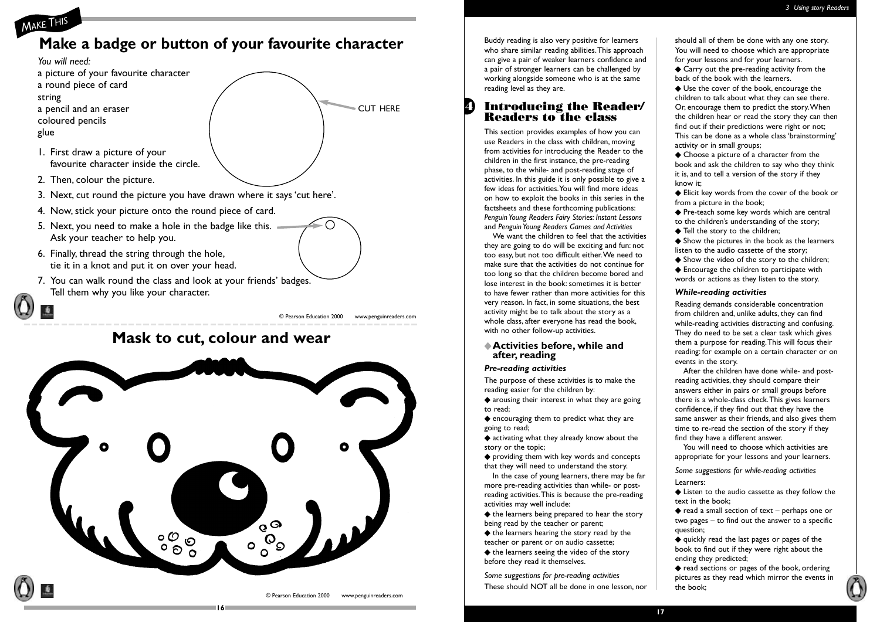Buddy reading is also very positive for learners who share similar reading abilities.This approach can give a pair of weaker learners confidence and a pair of stronger learners can be challenged by working alongside someone who is at the same reading level as they are.

# **Introducing the Reader/ Readers to the class**

This section provides examples of how you can use Readers in the class with children, moving from activities for introducing the Reader to the children in the first instance, the pre-reading phase, to the while- and post-reading stage of activities. In this guide it is only possible to give a few ideas for activities.You will find more ideas on how to exploit the books in this series in the factsheets and these forthcoming publications: *Penguin Young Readers Fairy Stories: Instant Lessons* and *Penguin Young Readers Games and Activities*

We want the children to feel that the activities they are going to do will be exciting and fun: not too easy, but not too difficult either.We need to make sure that the activities do not continue for too long so that the children become bored and lose interest in the book: sometimes it is better to have fewer rather than more activities for this very reason. In fact, in some situations, the best activity might be to talk about the story as a whole class, after everyone has read the book, with no other follow-up activities.

◆ Carry out the pre-reading activity from the back of the book with the learners.

#### ◆**Activities before, while and after, reading**

◆ Use the cover of the book, encourage the children to talk about what they can see there. Or, encourage them to predict the story.When the children hear or read the story they can then find out if their predictions were right or not; This can be done as a whole class 'brainstorming' activity or in small groups;

#### *Pre-reading activities*

The purpose of these activities is to make the reading easier for the children by:

◆ Elicit key words from the cover of the book or from a picture in the book;

◆ Pre-teach some key words which are central to the children's understanding of the story;

- ◆ arousing their interest in what they are going to read;
- ◆ encouraging them to predict what they are going to read;
- ◆ activating what they already know about the story or the topic;
- ◆ providing them with key words and concepts that they will need to understand the story.
- In the case of young learners, there may be far more pre-reading activities than while- or postreading activities.This is because the pre-reading activities may well include:
- ◆ the learners being prepared to hear the story being read by the teacher or parent;
- ◆ the learners hearing the story read by the teacher or parent or on audio cassette;
- ◆ the learners seeing the video of the story before they read it themselves.

*Some suggestions for pre-reading activities* These should NOT all be done in one lesson, nor ◆ read sections or pages of the book, ordering pictures as they read which mirror the events in the book;



should all of them be done with any one story. You will need to choose which are appropriate for your lessons and for your learners.

◆ Choose a picture of a character from the book and ask the children to say who they think it is, and to tell a version of the story if they know it;

◆ Tell the story to the children;

◆ Show the pictures in the book as the learners listen to the audio cassette of the story;

◆ Show the video of the story to the children;

◆ Encourage the children to participate with words or actions as they listen to the story.

#### *While-reading activities*

Reading demands considerable concentration from children and, unlike adults, they can find while-reading activities distracting and confusing. They do need to be set a clear task which gives them a purpose for reading.This will focus their reading: for example on a certain character or on events in the story.

After the children have done while- and postreading activities, they should compare their answers either in pairs or small groups before there is a whole-class check.This gives learners confidence, if they find out that they have the same answer as their friends, and also gives them time to re-read the section of the story if they find they have a different answer.

You will need to choose which activities are appropriate for your lessons and your learners.

*Some suggestions for while-reading activities* Learners:

◆ Listen to the audio cassette as they follow the text in the book;

◆ read a small section of text – perhaps one or two pages – to find out the answer to a specific question;

◆ quickly read the last pages or pages of the book to find out if they were right about the ending they predicted;

*You will need:*

a picture of your favourite character a round piece of card string a pencil and an eraser coloured pencils glue

# **Make a badge or button of your favourite character** *<sup>M</sup>AKE <sup>T</sup>HIS*

- 1. First draw a picture of your favourite character inside the circle.
- 2. Then, colour the picture.
- 3. Next, cut round the picture you have drawn where it says 'cut here'.
- 4. Now, stick your picture onto the round piece of card.
- 5. Next, you need to make a hole in the badge like this. Ask your teacher to help you.
- 6. Finally, thread the string through the hole, tie it in a knot and put it on over your head.
- 7. You can walk round the class and look at your friends' badges. Tell them why you like your character.

# **Mask to cut, colour and wear**



**16**

CUT HERE

© Pearson Education 2000 www.penguinreaders.com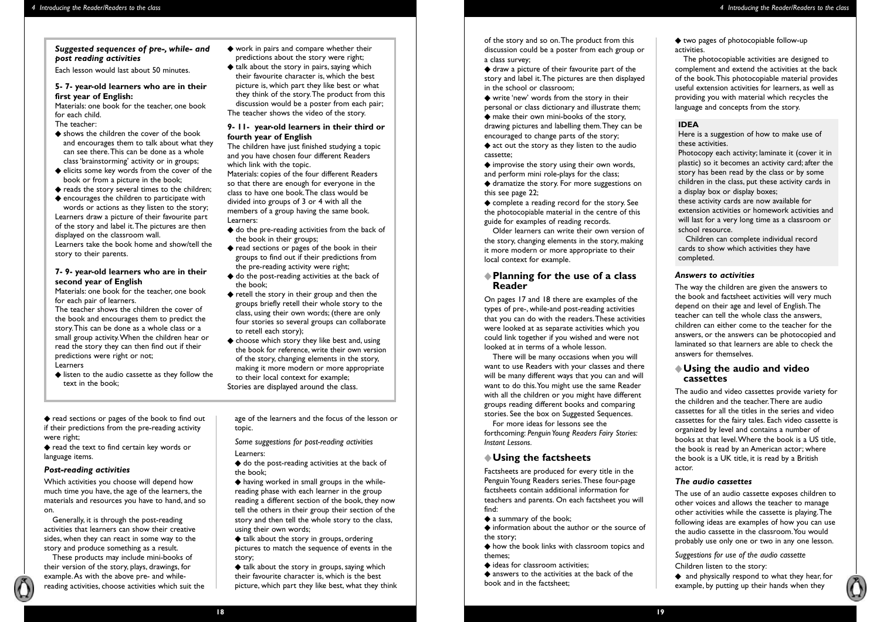of the story and so on.The product from this discussion could be a poster from each group or a class survey;

◆ draw a picture of their favourite part of the story and label it.The pictures are then displayed in the school or classroom;

◆ act out the story as they listen to the audio cassette;

◆ write 'new' words from the story in their personal or class dictionary and illustrate them;

◆ complete a reading record for the story. See the photocopiable material in the centre of this guide for examples of reading records.

◆ make their own mini-books of the story, drawing pictures and labelling them.They can be encouraged to change parts of the story;

◆ improvise the story using their own words, and perform mini role-plays for the class;

◆ dramatize the story. For more suggestions on this see page 22;

Older learners can write their own version of the story, changing elements in the story, making it more modern or more appropriate to their local context for example.

#### ◆**Planning for the use of a class Reader**

◆ answers to the activities at the back of the book and in the factsheet;

On pages 17 and 18 there are examples of the types of pre-, while-and post-reading activities that you can do with the readers.These activities were looked at as separate activities which you could link together if you wished and were not looked at in terms of a whole lesson.

There will be many occasions when you will want to use Readers with your classes and there will be many different ways that you can and will want to do this.You might use the same Reader with all the children or you might have different groups reading different books and comparing stories. See the box on Suggested Sequences.

For more ideas for lessons see the forthcoming: *Penguin Young Readers Fairy Stories: Instant Lessons.*

#### ◆**Using the factsheets**

Factsheets are produced for every title in the Penguin Young Readers series.These four-page factsheets contain additional information for teachers and parents. On each factsheet you will find:

◆ a summary of the book;

◆ and physically respond to what they hear, for example, by putting up their hands when they



◆ read sections or pages of the book to find out if their predictions from the pre-reading activity were right;

◆ read the text to find certain key words or language items.

> ◆ information about the author or the source of the story;

> ◆ how the book links with classroom topics and themes;

◆ ideas for classroom activities;

◆ two pages of photocopiable follow-up activities.

◆ do the post-reading activities at the back of the book;

The photocopiable activities are designed to complement and extend the activities at the back of the book.This photocopiable material provides useful extension activities for learners, as well as providing you with material which recycles the language and concepts from the story.

 $\triangleleft$  talk about the story in groups, ordering pictures to match the sequence of events in the story;

#### *Answers to activities*

◆ talk about the story in groups, saying which their favourite character is, which is the best picture, which part they like best, what they think The way the children are given the answers to the book and factsheet activities will very much depend on their age and level of English.The teacher can tell the whole class the answers, children can either come to the teacher for the answers, or the answers can be photocopied and laminated so that learners are able to check the answers for themselves.

#### ◆**Using the audio and video cassettes**

The audio and video cassettes provide variety for the children and the teacher.There are audio cassettes for all the titles in the series and video cassettes for the fairy tales. Each video cassette is organized by level and contains a number of books at that level.Where the book is a US title, the book is read by an American actor; where the book is a UK title, it is read by a British actor.

◆ work in pairs and compare whether their predictions about the story were right;

#### *The audio cassettes*

◆ talk about the story in pairs, saying which their favourite character is, which the best picture is, which part they like best or what they think of the story.The product from this discussion would be a poster from each pair; The teacher shows the video of the story.

> The use of an audio cassette exposes children to other voices and allows the teacher to manage other activities while the cassette is playing.The following ideas are examples of how you can use the audio cassette in the classroom.You would probably use only one or two in any one lesson.

#### *Suggestions for use of the audio cassette*

Children listen to the story:

- ◆ do the pre-reading activities from the back of the book in their groups;
- ◆ read sections or pages of the book in their groups to find out if their predictions from the pre-reading activity were right;
- ◆ do the post-reading activities at the back of the book;
- ◆ retell the story in their group and then the groups briefly retell their whole story to the class, using their own words; (there are only four stories so several groups can collaborate to retell each story);
- ◆ choose which story they like best and, using the book for reference, write their own version of the story, changing elements in the story, making it more modern or more appropriate to their local context for example; Stories are displayed around the class.

#### *Post-reading activities*

Which activities you choose will depend how much time you have, the age of the learners, the materials and resources you have to hand, and so on.

Generally, it is through the post-reading activities that learners can show their creative sides, when they can react in some way to the story and produce something as a result.

These products may include mini-books of their version of the story, plays, drawings, for example.As with the above pre- and whilereading activities, choose activities which suit the age of the learners and the focus of the lesson or topic.

*Some suggestions for post-reading activities* Learners:

◆ having worked in small groups in the whilereading phase with each learner in the group reading a different section of the book, they now tell the others in their group their section of the story and then tell the whole story to the class, using their own words;

#### *Suggested sequences of pre-, while- and post reading activities*

Each lesson would last about 50 minutes.

#### **5- 7- year-old learners who are in their first year of English:**

Materials: one book for the teacher, one book for each child.

The teacher:

- ◆ shows the children the cover of the book and encourages them to talk about what they can see there.This can be done as a whole class 'brainstorming' activity or in groups;
- ◆ elicits some key words from the cover of the book or from a picture in the book;
- ◆ reads the story several times to the children;
- ◆ encourages the children to participate with words or actions as they listen to the story;

Learners draw a picture of their favourite part of the story and label it.The pictures are then displayed on the classroom wall. Learners take the book home and show/tell the

story to their parents.

#### **7- 9- year-old learners who are in their second year of English**

Materials: one book for the teacher, one book for each pair of learners.

The teacher shows the children the cover of the book and encourages them to predict the story.This can be done as a whole class or a small group activity.When the children hear or read the story they can then find out if their predictions were right or not;

#### **Learners**

◆ listen to the audio cassette as they follow the text in the book;

#### **9- 11- year-old learners in their third or fourth year of English**

The children have just finished studying a topic and you have chosen four different Readers which link with the topic.

Materials: copies of the four different Readers so that there are enough for everyone in the class to have one book.The class would be divided into groups of 3 or 4 with all the members of a group having the same book. Learners:

#### **IDEA**

Here is a suggestion of how to make use of these activities.

Photocopy each activity; laminate it (cover it in plastic) so it becomes an activity card; after the story has been read by the class or by some children in the class, put these activity cards in a display box or display boxes;

these activity cards are now available for extension activities or homework activities and will last for a very long time as a classroom or school resource.

Children can complete individual record cards to show which activities they have completed.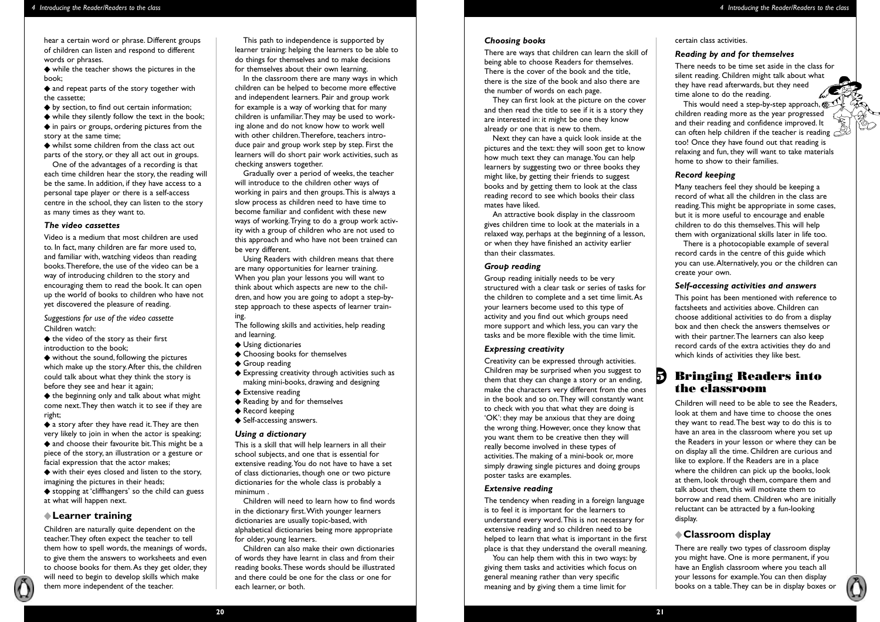#### *Choosing books*

There are ways that children can learn the skill of being able to choose Readers for themselves. There is the cover of the book and the title, there is the size of the book and also there are the number of words on each page.

They can first look at the picture on the cover and then read the title to see if it is a story they are interested in: it might be one they know already or one that is new to them.

Next they can have a quick look inside at the pictures and the text: they will soon get to know how much text they can manage.You can help learners by suggesting two or three books they might like, by getting their friends to suggest books and by getting them to look at the class reading record to see which books their class mates have liked.

An attractive book display in the classroom gives children time to look at the materials in a relaxed way, perhaps at the beginning of a lesson, or when they have finished an activity earlier than their classmates.

#### *Group reading*

Group reading initially needs to be very structured with a clear task or series of tasks for the children to complete and a set time limit.As your learners become used to this type of activity and you find out which groups need more support and which less, you can vary the tasks and be more flexible with the time limit.

#### *Expressing creativity*

This would need a step-by-step approach,  $\circledast$ children reading more as the year progressed and their reading and confidence improved. It can often help children if the teacher is reading  $\mathbb{C}$ too! Once they have found out that reading is relaxing and fun, they will want to take materials home to show to their families.

Creativity can be expressed through activities. Children may be surprised when you suggest to them that they can change a story or an ending, make the characters very different from the ones in the book and so on.They will constantly want to check with you that what they are doing is 'OK': they may be anxious that they are doing the wrong thing. However, once they know that you want them to be creative then they will really become involved in these types of activities.The making of a mini-book or, more simply drawing single pictures and doing groups poster tasks are examples.

#### *Extensive reading*

The tendency when reading in a foreign language is to feel it is important for the learners to understand every word.This is not necessary for extensive reading and so children need to be helped to learn that what is important in the first place is that they understand the overall meaning.

You can help them with this in two ways: by giving them tasks and activities which focus on general meaning rather than very specific meaning and by giving them a time limit for

certain class activities.

◆ and repeat parts of the story together with the cassette;

### *Reading by and for themselves*

There needs to be time set aside in the class for silent reading. Children might talk about what they have read afterwards, but they need time alone to do the reading.

◆ whilst some children from the class act out parts of the story, or they all act out in groups.

### *Record keeping*

◆ the beginning only and talk about what might come next.They then watch it to see if they are right;

Many teachers feel they should be keeping a record of what all the children in the class are reading.This might be appropriate in some cases, but it is more useful to encourage and enable children to do this themselves.This will help them with organizational skills later in life too.

 $\bullet$  a story after they have read it. They are then very likely to join in when the actor is speaking;

◆ and choose their favourite bit. This might be a piece of the story, an illustration or a gesture or facial expression that the actor makes;

◆ with their eyes closed and listen to the story, imagining the pictures in their heads;

◆ stopping at 'cliffhangers' so the child can guess at what will happen next.

There is a photocopiable example of several record cards in the centre of this guide which you can use.Alternatively, you or the children can create your own.

### *Self-accessing activities and answers*

This point has been mentioned with reference to factsheets and activities above. Children can choose additional activities to do from a display box and then check the answers themselves or with their partner.The learners can also keep record cards of the extra activities they do and which kinds of activities they like best.

# **Bringing Readers into the classroom**

Children will need to be able to see the Readers, look at them and have time to choose the ones they want to read.The best way to do this is to have an area in the classroom where you set up the Readers in your lesson or where they can be on display all the time. Children are curious and like to explore. If the Readers are in a place where the children can pick up the books, look at them, look through them, compare them and talk about them, this will motivate them to borrow and read them. Children who are initially reluctant can be attracted by a fun-looking display.

# ◆**Classroom display**

There are really two types of classroom display you might have. One is more permanent, if you have an English classroom where you teach all your lessons for example.You can then display books on a table.They can be in display boxes or



hear a certain word or phrase. Different groups of children can listen and respond to different words or phrases.

◆ while the teacher shows the pictures in the book;

◆ by section, to find out certain information;

◆ while they silently follow the text in the book; ◆ in pairs or groups, ordering pictures from the story at the same time;

One of the advantages of a recording is that each time children hear the story, the reading will be the same. In addition, if they have access to a personal tape player or there is a self-access centre in the school, they can listen to the story as many times as they want to.

#### *The video cassettes*

Video is a medium that most children are used to. In fact, many children are far more used to, and familiar with, watching videos than reading books.Therefore, the use of the video can be a way of introducing children to the story and encouraging them to read the book. It can open up the world of books to children who have not yet discovered the pleasure of reading.

*Suggestions for use of the video cassette* Children watch:

◆ the video of the story as their first introduction to the book;

◆ without the sound, following the pictures which make up the story.After this, the children could talk about what they think the story is before they see and hear it again;

#### ◆**Learner training**

Children are naturally quite dependent on the teacher.They often expect the teacher to tell them how to spell words, the meanings of words, to give them the answers to worksheets and even to choose books for them.As they get older, they will need to begin to develop skills which make them more independent of the teacher.

This path to independence is supported by learner training: helping the learners to be able to do things for themselves and to make decisions for themselves about their own learning.

In the classroom there are many ways in which children can be helped to become more effective and independent learners. Pair and group work for example is a way of working that for many children is unfamiliar.They may be used to working alone and do not know how to work well with other children.Therefore, teachers introduce pair and group work step by step. First the learners will do short pair work activities, such as checking answers together.

Gradually over a period of weeks, the teacher will introduce to the children other ways of working in pairs and then groups.This is always a slow process as children need to have time to become familiar and confident with these new ways of working.Trying to do a group work activity with a group of children who are not used to this approach and who have not been trained can be very different.

Using Readers with children means that there are many opportunities for learner training. When you plan your lessons you will want to think about which aspects are new to the children, and how you are going to adopt a step-bystep approach to these aspects of learner training.

The following skills and activities, help reading and learning.

- ◆ Using dictionaries
- ◆ Choosing books for themselves
- ◆ Group reading
- ◆ Expressing creativity through activities such as making mini-books, drawing and designing
- ◆ Extensive reading
- ◆ Reading by and for themselves
- ◆ Record keeping
- ◆ Self-accessing answers.

#### *Using a dictionary*

This is a skill that will help learners in all their school subjects, and one that is essential for extensive reading.You do not have to have a set of class dictionaries, though one or two picture dictionaries for the whole class is probably a minimum .

Children will need to learn how to find words in the dictionary first.With younger learners dictionaries are usually topic-based, with alphabetical dictionaries being more appropriate for older, young learners.

Children can also make their own dictionaries of words they have learnt in class and from their reading books.These words should be illustrated and there could be one for the class or one for each learner, or both.

**5**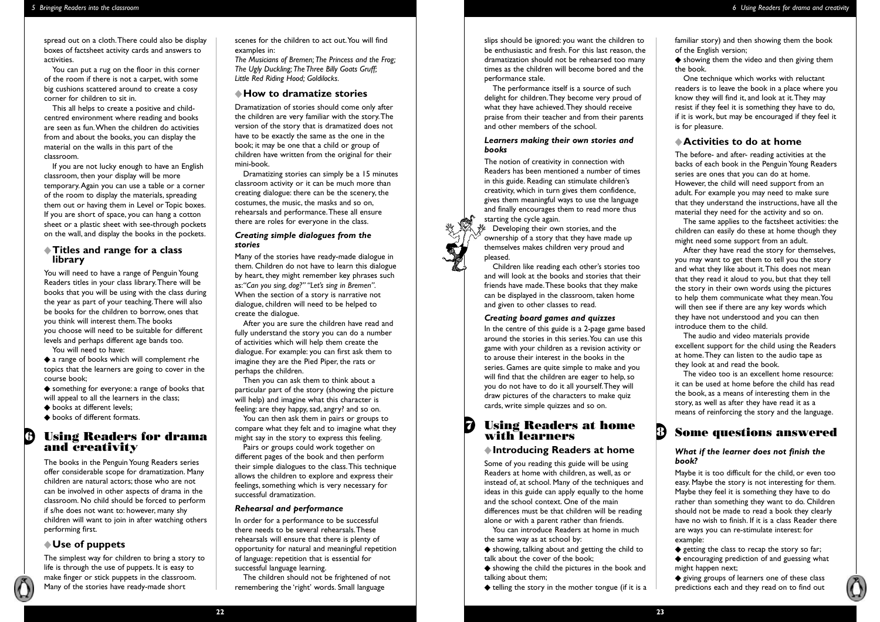familiar story) and then showing them the book of the English version;

◆ showing them the video and then giving them the book.

One technique which works with reluctant readers is to leave the book in a place where you know they will find it, and look at it.They may resist if they feel it is something they have to do, if it is work, but may be encouraged if they feel it is for pleasure.

#### ◆**Activities to do at home**

The before- and after- reading activities at the backs of each book in the Penguin Young Readers series are ones that you can do at home. However, the child will need support from an adult. For example you may need to make sure that they understand the instructions, have all the material they need for the activity and so on.

The same applies to the factsheet activities: the children can easily do these at home though they might need some support from an adult.

After they have read the story for themselves, you may want to get them to tell you the story and what they like about it.This does not mean that they read it aloud to you, but that they tell the story in their own words using the pictures to help them communicate what they mean.You will then see if there are any key words which they have not understood and you can then introduce them to the child.

◆ giving groups of learners one of these class predictions each and they read on to find out



The audio and video materials provide excellent support for the child using the Readers at home.They can listen to the audio tape as they look at and read the book.

The video too is an excellent home resource: it can be used at home before the child has read the book, as a means of interesting them in the story, as well as after they have read it as a means of reinforcing the story and the language.

# **Some questions answered**

#### *What if the learner does not finish the book?*

Maybe it is too difficult for the child, or even too easy. Maybe the story is not interesting for them. Maybe they feel it is something they have to do rather than something they want to do. Children should not be made to read a book they clearly have no wish to finish. If it is a class Reader there are ways you can re-stimulate interest: for example:

◆ getting the class to recap the story so far; ◆ encouraging prediction of and guessing what might happen next;

**6**

◆ books of different formats.

spread out on a cloth.There could also be display boxes of factsheet activity cards and answers to activities.

You can put a rug on the floor in this corner of the room if there is not a carpet, with some big cushions scattered around to create a cosy corner for children to sit in.

This all helps to create a positive and childcentred environment where reading and books are seen as fun.When the children do activities from and about the books, you can display the material on the walls in this part of the classroom.

If you are not lucky enough to have an English classroom, then your display will be more temporary.Again you can use a table or a corner of the room to display the materials, spreading them out or having them in Level or Topic boxes. If you are short of space, you can hang a cotton sheet or a plastic sheet with see-through pockets on the wall, and display the books in the pockets.

#### ◆**Titles and range for a class library**

You will need to have a range of Penguin Young Readers titles in your class library.There will be books that you will be using with the class during the year as part of your teaching.There will also be books for the children to borrow, ones that you think will interest them.The books you choose will need to be suitable for different levels and perhaps different age bands too.

You will need to have:

◆ a range of books which will complement rhe topics that the learners are going to cover in the course book;

◆ something for everyone: a range of books that will appeal to all the learners in the class;

◆ books at different levels:

 $\frac{1}{2}$  Developing their own stories, and the ownership of a story that they have made up themselves makes children very proud and pleased.

## **Using Readers for drama and creativity**

The books in the Penguin Young Readers series offer considerable scope for dramatization. Many children are natural actors; those who are not can be involved in other aspects of drama in the classroom. No child should be forced to perform if s/he does not want to: however, many shy children will want to join in after watching others performing first.

#### ◆**Use of puppets**

The simplest way for children to bring a story to life is through the use of puppets. It is easy to make finger or stick puppets in the classroom. Many of the stories have ready-made short

- ◆ showing, talking about and getting the child to talk about the cover of the book;
- ◆ showing the child the pictures in the book and talking about them;
- ◆ telling the story in the mother tongue (if it is a

scenes for the children to act out.You will find examples in:

*The Musicians of Bremen; The Princess and the Frog; The Ugly Duckling; The Three Billy Goats Gruff; Little Red Riding Hood; Goldilocks.*

#### ◆**How to dramatize stories**

Dramatization of stories should come only after the children are very familiar with the story.The version of the story that is dramatized does not have to be exactly the same as the one in the book; it may be one that a child or group of children have written from the original for their mini-book.

Dramatizing stories can simply be a 15 minutes classroom activity or it can be much more than creating dialogue: there can be the scenery, the costumes, the music, the masks and so on, rehearsals and performance.These all ensure there are roles for everyone in the class.

#### *Creating simple dialogues from the stories*

Many of the stories have ready-made dialogue in them. Children do not have to learn this dialogue by heart, they might remember key phrases such as:*"Can you sing, dog?" "Let's sing in Bremen".* When the section of a story is narrative not dialogue, children will need to be helped to create the dialogue.

After you are sure the children have read and fully understand the story you can do a number of activities which will help them create the dialogue. For example: you can first ask them to imagine they are the Pied Piper, the rats or perhaps the children.

Then you can ask them to think about a particular part of the story (showing the picture will help) and imagine what this character is feeling: are they happy, sad, angry? and so on.

You can then ask them in pairs or groups to compare what they felt and to imagine what they might say in the story to express this feeling.

Pairs or groups could work together on different pages of the book and then perform their simple dialogues to the class.This technique allows the children to explore and express their feelings, something which is very necessary for successful dramatization.

#### *Rehearsal and performance*

In order for a performance to be successful there needs to be several rehearsals.These rehearsals will ensure that there is plenty of opportunity for natural and meaningful repetition of language: repetition that is essential for successful language learning.

The children should not be frightened of not remembering the 'right' words. Small language

slips should be ignored: you want the children to be enthusiastic and fresh. For this last reason, the dramatization should not be rehearsed too many times as the children will become bored and the performance stale.

The performance itself is a source of such delight for children.They become very proud of what they have achieved.They should receive praise from their teacher and from their parents and other members of the school.

#### *Learners making their own stories and books*

The notion of creativity in connection with Readers has been mentioned a number of times in this guide. Reading can stimulate children's creativity, which in turn gives them confidence, gives them meaningful ways to use the language and finally encourages them to read more thus starting the cycle again.

## **<sup>7</sup> <sup>8</sup> Using Readers at home with learners**

Children like reading each other's stories too and will look at the books and stories that their friends have made.These books that they make can be displayed in the classroom, taken home and given to other classes to read.

#### *Creating board games and quizzes*

In the centre of this guide is a 2-page game based around the stories in this series.You can use this game with your children as a revision activity or to arouse their interest in the books in the series. Games are quite simple to make and you will find that the children are eager to help, so you do not have to do it all yourself.They will draw pictures of the characters to make quiz cards, write simple quizzes and so on.

#### ◆**Introducing Readers at home**

Some of you reading this guide will be using Readers at home with children, as well, as or instead of, at school. Many of the techniques and ideas in this guide can apply equally to the home and the school context. One of the main differences must be that children will be reading alone or with a parent rather than friends.

You can introduce Readers at home in much the same way as at school by: